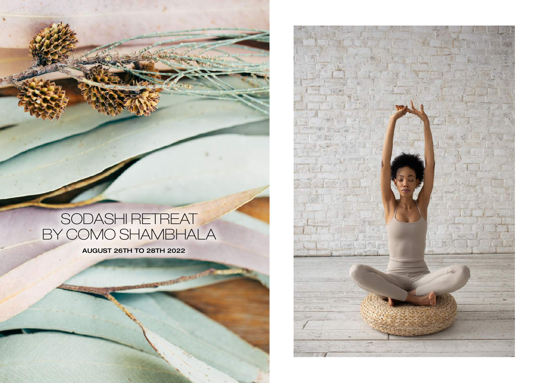# SODASHI RETREAT BY COMO SHAMBHALA

AUGUST 26TH TO 28TH 2022

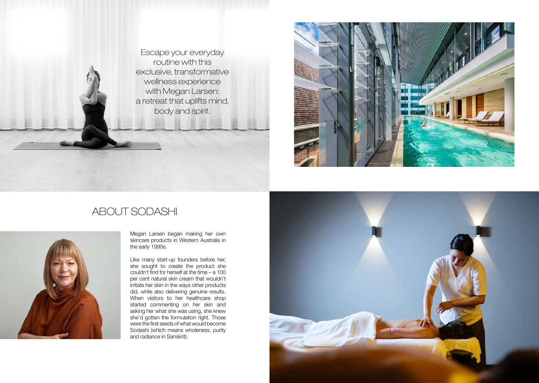Escape your everyday routine with this exclusive, transformative wellness experience with Megan Larsen: a retreat that uplifts mind, body and spirit.



## ABOUT SODASHI



Megan Larsen began making her own skincare products in Western Australia in the early 1990s.

Like many start-up founders before her, she sought to create the product she couldn't find for herself at the time – a 100 per cent natural skin cream that wouldn't irritate her skin in the ways other products did, while also delivering genuine results. When visitors to her healthcare shop started commenting on her skin and asking her what she was using, she knew she'd gotten the formulation right. Those were the first seeds of what would become Sodashi (which means wholeness, purity and radiance in Sanskrit).

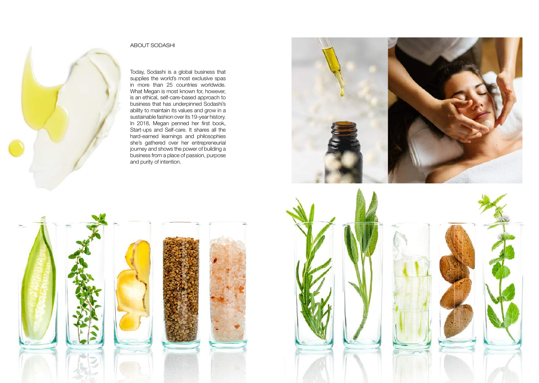

#### ABOUT SODASHI

Today, Sodashi is a global business that supplies the world's most exclusive spas in more than 25 countries worldwide. What Megan is most known for, however, is an ethical, self-care-based approach to business that has underpinned Sodashi's ability to maintain its values and grow in a sustainable fashion over its 19-year history. In 2018, Megan penned her first book, Start-ups and Self-care. It shares all the hard-earned learnings and philosophies she's gathered over her entrepreneurial journey and shows the power of building a business from a place of passion, purpose and purity of intention.



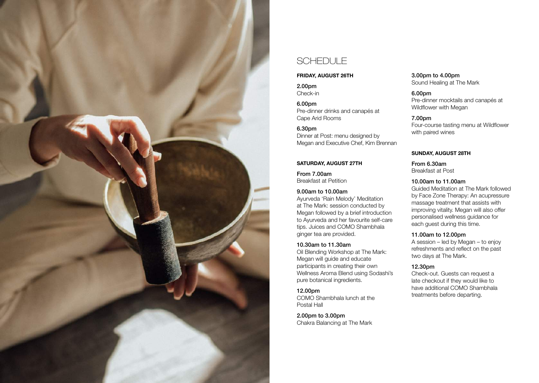

### SCHEDULE

#### FRIDAY, AUGUST 26TH

2.00pm Check-in

6.00pm Pre-dinner drinks and canapés at Cape Arid Rooms

6.30pm Dinner at Post: menu designed by Megan and Executive Chef, Kim Brennan

#### SATURDAY, AUGUST 27TH

From 7.00am Breakfast at Petition

#### 9.00am to 10.00am

Ayurveda 'Rain Melody' Meditation at The Mark: session conducted by Megan followed by a brief introduction to Ayurveda and her favourite self-care tips. Juices and COMO Shambhala ginger tea are provided.

#### 10.30am to 11.30am

Oil Blending Workshop at The Mark: Megan will guide and educate participants in creating their own Wellness Aroma Blend using Sodashi's pure botanical ingredients.

#### 12.00pm COMO Shambhala lunch at the Postal Hall

2.00pm to 3.00pm Chakra Balancing at The Mark

3.00pm to 4.00pm Sound Healing at The Mark

6.00pm Pre-dinner mocktails and canapés at Wildflower with Megan

7.00pm Four-course tasting menu at Wildflower with paired wines

#### SUNDAY, AUGUST 28TH

From 6.30am Breakfast at Post

#### 10.00am to 11.00am

Guided Meditation at The Mark followed by Face Zone Therapy: An acupressure massage treatment that assists with improving vitality. Megan will also offer personalised wellness guidance for each guest during this time.

#### 11.00am to 12.00pm

A session – led by Megan – to enjoy refreshments and reflect on the past two days at The Mark.

#### 12.30pm

Check-out. Guests can request a late checkout if they would like to have additional COMO Shambhala treatments before departing.